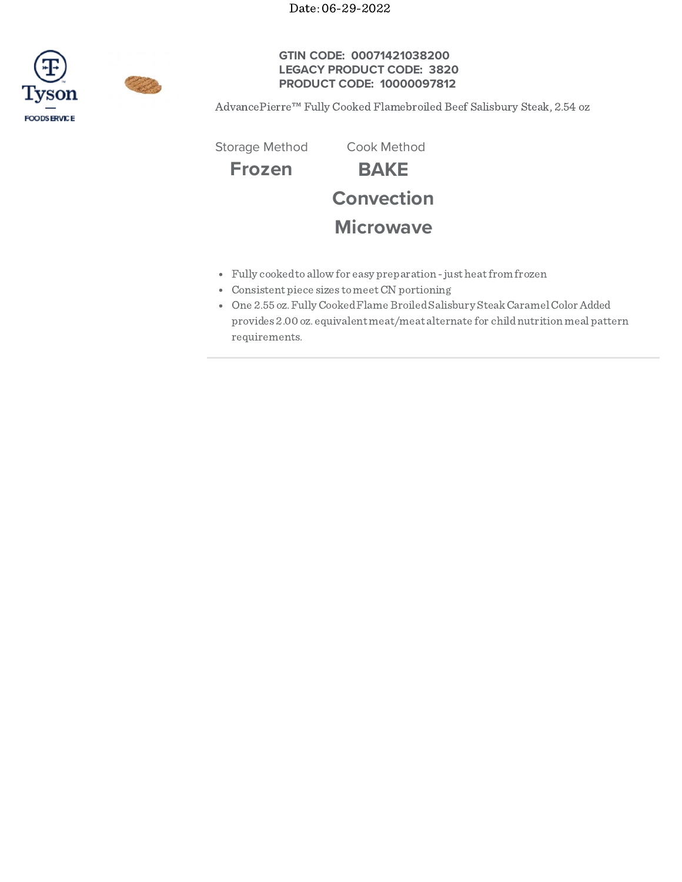Date: 06-29-2022



## **GTIN CODE: 00071421038200 LEGACY PRODUCT CODE: 3820 PRODUCT CODE: 10000097812**

AdvancePierre™ Fully Cooked Flamebroiled Beef Salisbury Steak, 2.54 oz

**Frozen BAKE Convection Microwave** Storage Method Cook Method

- Fully cookedto allow for easy preparation -just heatfrom frozen
- Consistent piece sizes tomeetCN portioning
- One 2.55 oz. Fully Cooked Flame Broiled Salisbury Steak Caramel Color Added provides 2.00 oz. equivalent meat/meat alternate for childnutrition meal pattern requirements.